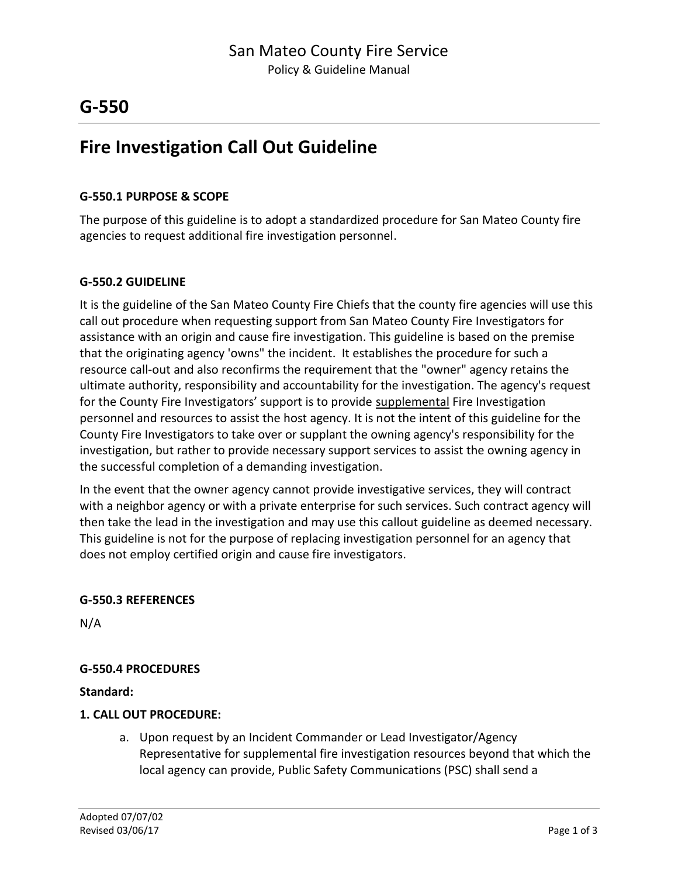## **G-550**

# **Fire Investigation Call Out Guideline**

#### **G-550.1 PURPOSE & SCOPE**

The purpose of this guideline is to adopt a standardized procedure for San Mateo County fire agencies to request additional fire investigation personnel.

#### **G-550.2 GUIDELINE**

It is the guideline of the San Mateo County Fire Chiefs that the county fire agencies will use this call out procedure when requesting support from San Mateo County Fire Investigators for assistance with an origin and cause fire investigation. This guideline is based on the premise that the originating agency 'owns" the incident. It establishes the procedure for such a resource call-out and also reconfirms the requirement that the "owner" agency retains the ultimate authority, responsibility and accountability for the investigation. The agency's request for the County Fire Investigators' support is to provide supplemental Fire Investigation personnel and resources to assist the host agency. It is not the intent of this guideline for the County Fire Investigators to take over or supplant the owning agency's responsibility for the investigation, but rather to provide necessary support services to assist the owning agency in the successful completion of a demanding investigation.

In the event that the owner agency cannot provide investigative services, they will contract with a neighbor agency or with a private enterprise for such services. Such contract agency will then take the lead in the investigation and may use this callout guideline as deemed necessary. This guideline is not for the purpose of replacing investigation personnel for an agency that does not employ certified origin and cause fire investigators.

#### **G-550.3 REFERENCES**

N/A

### **G-550.4 PROCEDURES**

**Standard:**

#### **1. CALL OUT PROCEDURE:**

a. Upon request by an Incident Commander or Lead Investigator/Agency Representative for supplemental fire investigation resources beyond that which the local agency can provide, Public Safety Communications (PSC) shall send a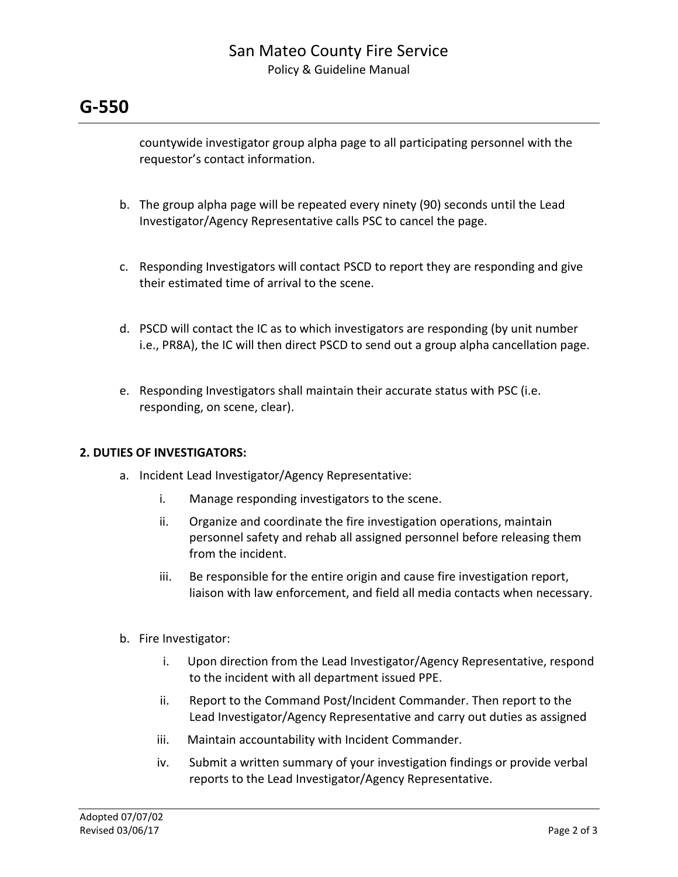### San Mateo County Fire Service Policy & Guideline Manual

# **G-550**

countywide investigator group alpha page to all participating personnel with the requestor's contact information.

- b. The group alpha page will be repeated every ninety (90) seconds until the Lead Investigator/Agency Representative calls PSC to cancel the page.
- c. Responding Investigators will contact PSCD to report they are responding and give their estimated time of arrival to the scene.
- d. PSCD will contact the IC as to which investigators are responding (by unit number i.e., PR8A), the IC will then direct PSCD to send out a group alpha cancellation page.
- e. Responding Investigators shall maintain their accurate status with PSC (i.e. responding, on scene, clear).

### **2. DUTIES OF INVESTIGATORS:**

- a. Incident Lead Investigator/Agency Representative:
	- i. Manage responding investigators to the scene.
	- ii. Organize and coordinate the fire investigation operations, maintain personnel safety and rehab all assigned personnel before releasing them from the incident.
	- iii. Be responsible for the entire origin and cause fire investigation report, liaison with law enforcement, and field all media contacts when necessary.
- b. Fire Investigator:
	- i. Upon direction from the Lead Investigator/Agency Representative, respond to the incident with all department issued PPE.
	- ii. Report to the Command Post/Incident Commander. Then report to the Lead Investigator/Agency Representative and carry out duties as assigned
	- iii. Maintain accountability with Incident Commander.
	- iv. Submit a written summary of your investigation findings or provide verbal reports to the Lead Investigator/Agency Representative.